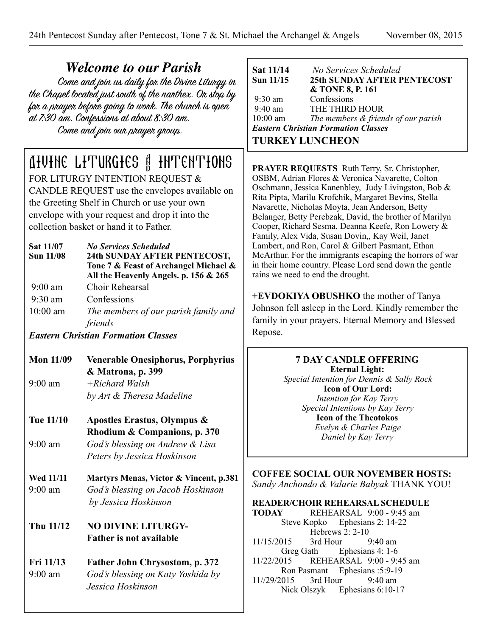| <b>Welcome to our Parish</b><br>Come and join us daily for the Divine Liturgy in<br>the Chapel located just south of the narthex. Or stop by<br>for a prayer before going to work. The church is open<br>at 7:30 am. Confessions at about 8:30 am.<br>Come and join our prayer group. |                                                                                                                                                                                                                                                                                                                                                                                                                                 | Sat 11/14<br>No Services Scheduled<br>Sun 11/15<br><b>25th SUNDAY AFTER PENTECOST</b><br>& TONE 8, P. 161<br>9:30 am<br>Confessions<br>$9:40$ am<br>THE THIRD HOUR<br>$10:00$ am<br>The members $\&$ friends of our parish<br><b>Eastern Christian Formation Classes</b><br><b>TURKEY LUNCHEON</b>                                                                                                                                                                                                                                                                                                                                                            |
|---------------------------------------------------------------------------------------------------------------------------------------------------------------------------------------------------------------------------------------------------------------------------------------|---------------------------------------------------------------------------------------------------------------------------------------------------------------------------------------------------------------------------------------------------------------------------------------------------------------------------------------------------------------------------------------------------------------------------------|---------------------------------------------------------------------------------------------------------------------------------------------------------------------------------------------------------------------------------------------------------------------------------------------------------------------------------------------------------------------------------------------------------------------------------------------------------------------------------------------------------------------------------------------------------------------------------------------------------------------------------------------------------------|
| Sat 11/07<br><b>Sun 11/08</b>                                                                                                                                                                                                                                                         | <b>AHUTHE LITURGIES &amp; INTENTIONS</b><br>FOR LITURGY INTENTION REQUEST $\&$<br>CANDLE REQUEST use the envelopes available on<br>the Greeting Shelf in Church or use your own<br>envelope with your request and drop it into the<br>collection basket or hand it to Father.<br><b>No Services Scheduled</b><br>24th SUNDAY AFTER PENTECOST,<br>Tone 7 & Feast of Archangel Michael &<br>All the Heavenly Angels. p. 156 & 265 | <b>PRAYER REQUESTS</b> Ruth Terry, Sr. Christopher,<br>OSBM, Adrian Flores & Veronica Navarette, Colton<br>Oschmann, Jessica Kanenbley, Judy Livingston, Bob &<br>Rita Pipta, Marilu Krofchik, Margaret Bevins, Stella<br>Navarette, Nicholas Moyta, Jean Anderson, Betty<br>Belanger, Betty Perebzak, David, the brother of Marilyn<br>Cooper, Richard Sesma, Deanna Keefe, Ron Lowery &<br>Family, Alex Vida, Susan Dovin,, Kay Weil, Janet<br>Lambert, and Ron, Carol & Gilbert Pasmant, Ethan<br>McArthur. For the immigrants escaping the horrors of war<br>in their home country. Please Lord send down the gentle<br>rains we need to end the drought. |
| $9:00$ am<br>$9:30$ am<br>$10:00$ am                                                                                                                                                                                                                                                  | Choir Rehearsal<br>Confessions<br>The members of our parish family and<br>friends<br><b>Eastern Christian Formation Classes</b>                                                                                                                                                                                                                                                                                                 | +EVDOKIYA OBUSHKO the mother of Tanya<br>Johnson fell asleep in the Lord. Kindly remember the<br>family in your prayers. Eternal Memory and Blessed<br>Repose.                                                                                                                                                                                                                                                                                                                                                                                                                                                                                                |
| <b>Mon 11/09</b>                                                                                                                                                                                                                                                                      |                                                                                                                                                                                                                                                                                                                                                                                                                                 | <b>7 DAY CANDLE OFFERING</b>                                                                                                                                                                                                                                                                                                                                                                                                                                                                                                                                                                                                                                  |
|                                                                                                                                                                                                                                                                                       | <b>Venerable Onesiphorus, Porphyrius</b><br>& Matrona, p. 399                                                                                                                                                                                                                                                                                                                                                                   | <b>Eternal Light:</b>                                                                                                                                                                                                                                                                                                                                                                                                                                                                                                                                                                                                                                         |
| $9:00$ am                                                                                                                                                                                                                                                                             | $+Richard$ Walsh<br>by Art & Theresa Madeline                                                                                                                                                                                                                                                                                                                                                                                   | Special Intention for Dennis & Sally Rock<br><b>Icon of Our Lord:</b><br>Intention for Kay Terry<br>Special Intentions by Kay Terry                                                                                                                                                                                                                                                                                                                                                                                                                                                                                                                           |
| Tue 11/10                                                                                                                                                                                                                                                                             | Apostles Erastus, Olympus &<br>Rhodium & Companions, p. 370                                                                                                                                                                                                                                                                                                                                                                     | <b>Icon of the Theotokos</b><br>Evelyn & Charles Paige                                                                                                                                                                                                                                                                                                                                                                                                                                                                                                                                                                                                        |
| $9:00$ am                                                                                                                                                                                                                                                                             | God's blessing on Andrew & Lisa<br>Peters by Jessica Hoskinson                                                                                                                                                                                                                                                                                                                                                                  | Daniel by Kay Terry                                                                                                                                                                                                                                                                                                                                                                                                                                                                                                                                                                                                                                           |
| <b>Wed 11/11</b><br>$9:00$ am<br>Thu 11/12                                                                                                                                                                                                                                            | Martyrs Menas, Victor & Vincent, p.381<br>God's blessing on Jacob Hoskinson<br>by Jessica Hoskinson<br><b>NO DIVINE LITURGY-</b><br><b>Father is not available</b>                                                                                                                                                                                                                                                              | <b>COFFEE SOCIAL OUR NOVEMBER HOSTS:</b><br>Sandy Anchondo & Valarie Babyak THANK YOU!<br><b>READER/CHOIR REHEARSAL SCHEDULE</b><br>REHEARSAL 9:00 - 9:45 am<br><b>TODAY</b><br>Ephesians 2: 14-22<br>Steve Kopko<br>Hebrews 2: 2-10<br>11/15/2015<br>3rd Hour<br>$9:40$ am                                                                                                                                                                                                                                                                                                                                                                                   |
| Fri 11/13<br>$9:00$ am                                                                                                                                                                                                                                                                | Father John Chrysostom, p. 372<br>God's blessing on Katy Yoshida by<br>Jessica Hoskinson                                                                                                                                                                                                                                                                                                                                        | Ephesians 4: 1-6<br>Greg Gath<br>11/22/2015<br>REHEARSAL 9:00 - 9:45 am<br>Ephesians: 5:9-19<br>Ron Pasmant<br>11//29/2015<br>3rd Hour<br>$9:40$ am<br>Nick Olszyk<br>Ephesians 6:10-17                                                                                                                                                                                                                                                                                                                                                                                                                                                                       |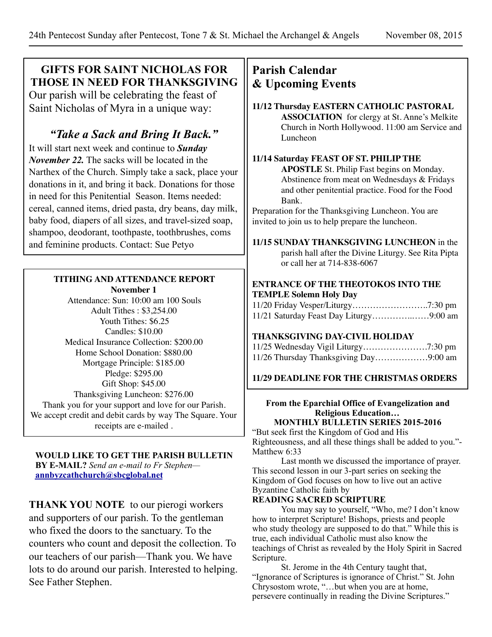# **GIFTS FOR SAINT NICHOLAS FOR THOSE IN NEED FOR THANKSGIVING**

Our parish will be celebrating the feast of Saint Nicholas of Myra in a unique way:

# *"Take a Sack and Bring It Back."*

It will start next week and continue to *Sunday November 22.* The sacks will be located in the Narthex of the Church. Simply take a sack, place your donations in it, and bring it back. Donations for those in need for this Penitential Season. Items needed: cereal, canned items, dried pasta, dry beans, day milk, baby food, diapers of all sizes, and travel-sized soap, shampoo, deodorant, toothpaste, toothbrushes, coms and feminine products. Contact: Sue Petyo

# **TITHING AND ATTENDANCE REPORT**

**November 1** Attendance: Sun: 10:00 am 100 Souls Adult Tithes : \$3,254.00 Youth Tithes: \$6.25 Candles: \$10.00 Medical Insurance Collection: \$200.00 Home School Donation: \$880.00 Mortgage Principle: \$185.00 Pledge: \$295.00 Gift Shop: \$45.00 Thanksgiving Luncheon: \$276.00 Thank you for your support and love for our Parish. We accept credit and debit cards by way The Square. Your receipts are e-mailed .

#### **WOULD LIKE TO GET THE PARISH BULLETIN BY E-MAIL?** *Send an e-mail to Fr Stephen* **[annbyzcathchurch@sbcglobal.net](mailto:annbyzcathchurch@sbcglobal.net)**

**THANK YOU NOTE** to our pierogi workers and supporters of our parish. To the gentleman who fixed the doors to the sanctuary. To the counters who count and deposit the collection. To our teachers of our parish—Thank you. We have lots to do around our parish. Interested to helping. See Father Stephen.

# **Parish Calendar & Upcoming Events**

#### **11/12 Thursday EASTERN CATHOLIC PASTORAL ASSOCIATION** for clergy at St. Anne's Melkite Church in North Hollywood. 11:00 am Service and Luncheon

### **11/14 Saturday FEAST OF ST. PHILIP THE**

**APOSTLE** St. Philip Fast begins on Monday. Abstinence from meat on Wednesdays & Fridays and other penitential practice. Food for the Food Bank.

Preparation for the Thanksgiving Luncheon. You are invited to join us to help prepare the luncheon.

**11/15 SUNDAY THANKSGIVING LUNCHEON** in the parish hall after the Divine Liturgy. See Rita Pipta or call her at 714-838-6067

#### **ENTRANCE OF THE THEOTOKOS INTO THE TEMPLE Solemn Holy Day**

# **THANKSGIVING DAY-CIVIL HOLIDAY**

| 11/26 Thursday Thanksgiving Day9:00 am |  |
|----------------------------------------|--|

# **11/29 DEADLINE FOR THE CHRISTMAS ORDERS**

# **From the Eparchial Office of Evangelization and Religious Education…**

**MONTHLY BULLETIN SERIES 2015-2016**  "But seek first the Kingdom of God and His Righteousness, and all these things shall be added to you."- Matthew 6:33

Last month we discussed the importance of prayer. This second lesson in our 3-part series on seeking the Kingdom of God focuses on how to live out an active Byzantine Catholic faith by

# **READING SACRED SCRIPTURE**

You may say to yourself, "Who, me? I don't know how to interpret Scripture! Bishops, priests and people who study theology are supposed to do that." While this is true, each individual Catholic must also know the teachings of Christ as revealed by the Holy Spirit in Sacred Scripture.

St. Jerome in the 4th Century taught that, "Ignorance of Scriptures is ignorance of Christ." St. John Chrysostom wrote, "…but when you are at home, persevere continually in reading the Divine Scriptures."